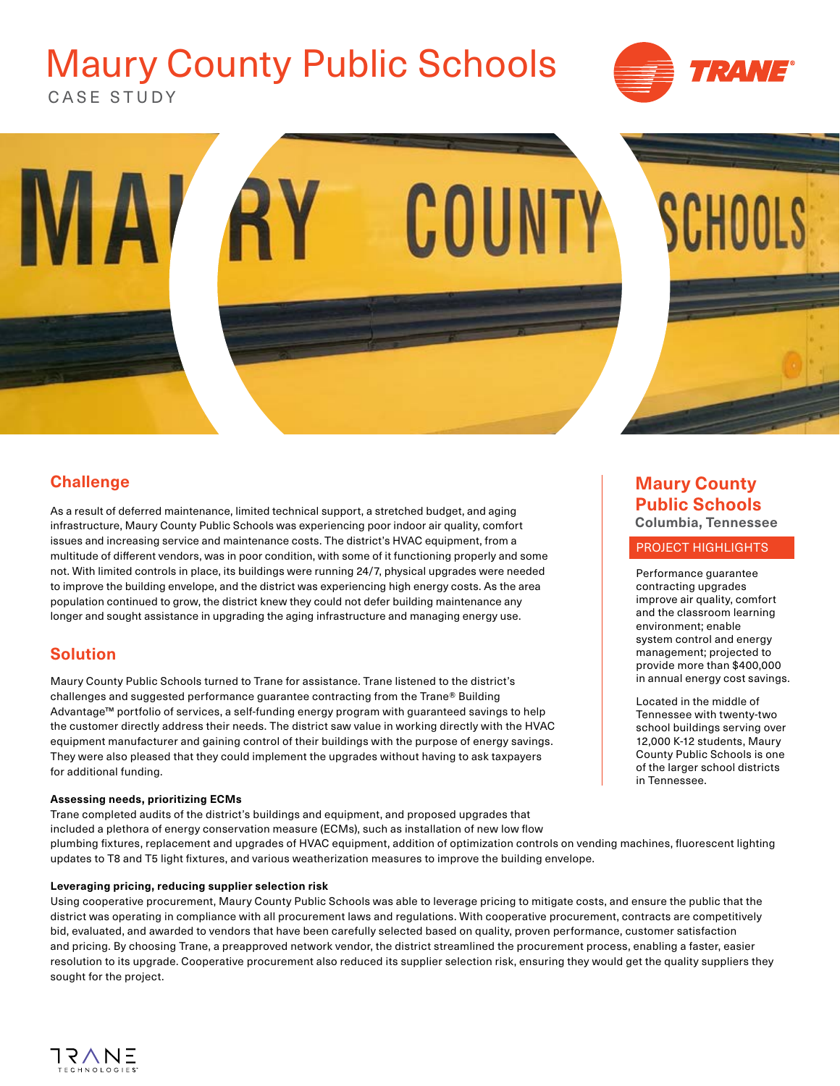# CASE STUDY Maury County Public Schools





# **Challenge**

As a result of deferred maintenance, limited technical support, a stretched budget, and aging infrastructure, Maury County Public Schools was experiencing poor indoor air quality, comfort issues and increasing service and maintenance costs. The district's HVAC equipment, from a multitude of different vendors, was in poor condition, with some of it functioning properly and some not. With limited controls in place, its buildings were running 24/7, physical upgrades were needed to improve the building envelope, and the district was experiencing high energy costs. As the area population continued to grow, the district knew they could not defer building maintenance any longer and sought assistance in upgrading the aging infrastructure and managing energy use.

# **Solution**

Maury County Public Schools turned to Trane for assistance. Trane listened to the district's challenges and suggested performance guarantee contracting from the Trane® Building Advantage™ portfolio of services, a self-funding energy program with guaranteed savings to help the customer directly address their needs. The district saw value in working directly with the HVAC equipment manufacturer and gaining control of their buildings with the purpose of energy savings. They were also pleased that they could implement the upgrades without having to ask taxpayers for additional funding.

#### **Assessing needs, prioritizing ECMs**

Trane completed audits of the district's buildings and equipment, and proposed upgrades that included a plethora of energy conservation measure (ECMs), such as installation of new low flow plumbing fixtures, replacement and upgrades of HVAC equipment, addition of optimization controls on vending machines, fluorescent lighting updates to T8 and T5 light fixtures, and various weatherization measures to improve the building envelope.

#### **Leveraging pricing, reducing supplier selection risk**

Using cooperative procurement, Maury County Public Schools was able to leverage pricing to mitigate costs, and ensure the public that the district was operating in compliance with all procurement laws and regulations. With cooperative procurement, contracts are competitively bid, evaluated, and awarded to vendors that have been carefully selected based on quality, proven performance, customer satisfaction and pricing. By choosing Trane, a preapproved network vendor, the district streamlined the procurement process, enabling a faster, easier resolution to its upgrade. Cooperative procurement also reduced its supplier selection risk, ensuring they would get the quality suppliers they sought for the project.

## **Maury County Public Schools Columbia, Tennessee**

#### PROJECT HIGHLIGHTS

Performance guarantee contracting upgrades improve air quality, comfort and the classroom learning environment; enable system control and energy management; projected to provide more than \$400,000 in annual energy cost savings.

Located in the middle of Tennessee with twenty-two school buildings serving over 12,000 K-12 students, Maury County Public Schools is one of the larger school districts in Tennessee.